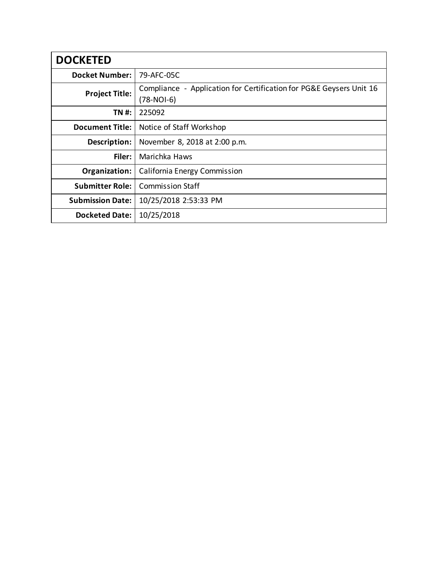| <b>DOCKETED</b>         |                                                                                   |
|-------------------------|-----------------------------------------------------------------------------------|
| <b>Docket Number:</b>   | 79-AFC-05C                                                                        |
| <b>Project Title:</b>   | Compliance - Application for Certification for PG&E Geysers Unit 16<br>(78-NOI-6) |
| TN #:                   | 225092                                                                            |
| <b>Document Title:</b>  | Notice of Staff Workshop                                                          |
| Description:            | November 8, 2018 at 2:00 p.m.                                                     |
| Filer:                  | Marichka Haws                                                                     |
| Organization:           | <b>California Energy Commission</b>                                               |
| <b>Submitter Role:</b>  | <b>Commission Staff</b>                                                           |
| <b>Submission Date:</b> | 10/25/2018 2:53:33 PM                                                             |
| <b>Docketed Date:</b>   | 10/25/2018                                                                        |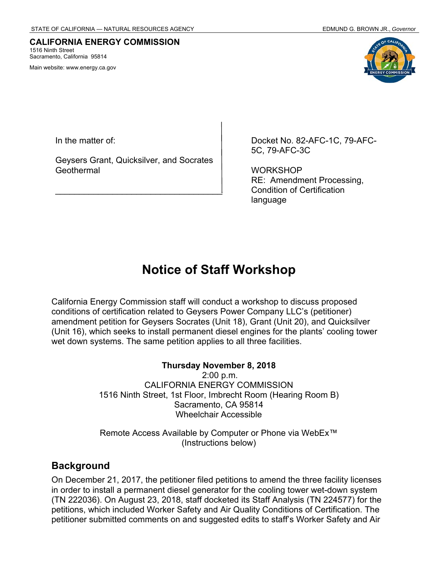#### **CALIFORNIA ENERGY COMMISSION** 1516 Ninth Street Sacramento, California 95814

Main website: www.energy.ca.gov



In the matter of:

Geysers Grant, Quicksilver, and Socrates **Geothermal** 

\_\_\_\_\_\_\_\_\_\_\_\_\_\_\_\_\_\_\_\_\_\_\_\_\_\_\_\_\_\_\_\_\_\_\_

Docket No. 82-AFC-1C, 79-AFC-5C, 79-AFC-3C

**WORKSHOP** RE: Amendment Processing, Condition of Certification language

# **Notice of Staff Workshop**

California Energy Commission staff will conduct a workshop to discuss proposed conditions of certification related to Geysers Power Company LLC's (petitioner) amendment petition for Geysers Socrates (Unit 18), Grant (Unit 20), and Quicksilver (Unit 16), which seeks to install permanent diesel engines for the plants' cooling tower wet down systems. The same petition applies to all three facilities.

#### **Thursday November 8, 2018**

 2:00 p.m. CALIFORNIA ENERGY COMMISSION 1516 Ninth Street, 1st Floor, Imbrecht Room (Hearing Room B) Sacramento, CA 95814 Wheelchair Accessible

Remote Access Available by Computer or Phone via WebEx™ (Instructions below)

#### **Background**

On December 21, 2017, the petitioner filed petitions to amend the three facility licenses in order to install a permanent diesel generator for the cooling tower wet-down system (TN 222036). On August 23, 2018, staff docketed its Staff Analysis (TN 224577) for the petitions, which included Worker Safety and Air Quality Conditions of Certification. The petitioner submitted comments on and suggested edits to staff's Worker Safety and Air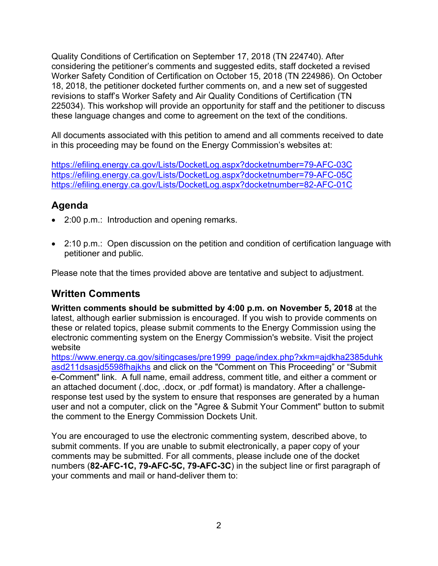Quality Conditions of Certification on September 17, 2018 (TN 224740). After considering the petitioner's comments and suggested edits, staff docketed a revised Worker Safety Condition of Certification on October 15, 2018 (TN 224986). On October 18, 2018, the petitioner docketed further comments on, and a new set of suggested revisions to staff's Worker Safety and Air Quality Conditions of Certification (TN 225034). This workshop will provide an opportunity for staff and the petitioner to discuss these language changes and come to agreement on the text of the conditions.

All documents associated with this petition to amend and all comments received to date in this proceeding may be found on the Energy Commission's websites at:

https://efiling.energy.ca.gov/Lists/DocketLog.aspx?docketnumber=79-AFC-03C https://efiling.energy.ca.gov/Lists/DocketLog.aspx?docketnumber=79-AFC-05C https://efiling.energy.ca.gov/Lists/DocketLog.aspx?docketnumber=82-AFC-01C

## **Agenda**

- 2:00 p.m.: Introduction and opening remarks.
- 2:10 p.m.: Open discussion on the petition and condition of certification language with petitioner and public.

Please note that the times provided above are tentative and subject to adjustment.

## **Written Comments**

**Written comments should be submitted by 4:00 p.m. on November 5, 2018** at the latest, although earlier submission is encouraged. If you wish to provide comments on these or related topics, please submit comments to the Energy Commission using the electronic commenting system on the Energy Commission's website. Visit the project website

https://www.energy.ca.gov/sitingcases/pre1999\_page/index.php?xkm=ajdkha2385duhk asd211dsasjd5598fhajkhs and click on the "Comment on This Proceeding" or "Submit e-Comment" link. A full name, email address, comment title, and either a comment or an attached document (.doc, .docx, or .pdf format) is mandatory. After a challengeresponse test used by the system to ensure that responses are generated by a human user and not a computer, click on the "Agree & Submit Your Comment" button to submit the comment to the Energy Commission Dockets Unit.

You are encouraged to use the electronic commenting system, described above, to submit comments. If you are unable to submit electronically, a paper copy of your comments may be submitted. For all comments, please include one of the docket numbers (**82-AFC-1C, 79-AFC-5C, 79-AFC-3C**) in the subject line or first paragraph of your comments and mail or hand-deliver them to: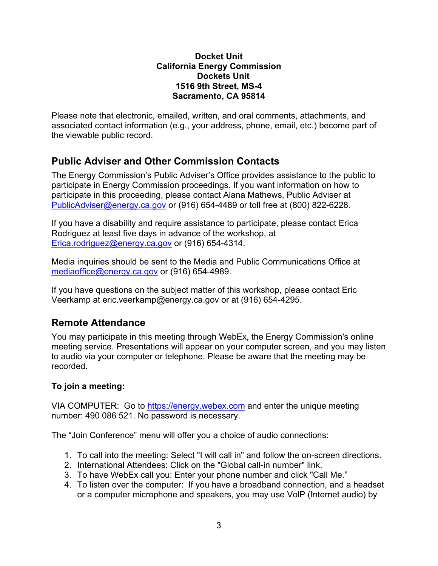#### **Docket Unit California Energy Commission Dockets Unit 1516 9th Street, MS-4 Sacramento, CA 95814**

Please note that electronic, emailed, written, and oral comments, attachments, and associated contact information (e.g., your address, phone, email, etc.) become part of the viewable public record.

### **Public Adviser and Other Commission Contacts**

The Energy Commission's Public Adviser's Office provides assistance to the public to participate in Energy Commission proceedings. If you want information on how to participate in this proceeding, please contact Alana Mathews, Public Adviser at PublicAdviser@energy.ca.gov or (916) 654-4489 or toll free at (800) 822-6228.

If you have a disability and require assistance to participate, please contact Erica Rodriguez at least five days in advance of the workshop, at Erica.rodriguez@energy.ca.gov or (916) 654-4314.

Media inquiries should be sent to the Media and Public Communications Office at mediaoffice@energy.ca.gov or (916) 654-4989.

If you have questions on the subject matter of this workshop, please contact Eric Veerkamp at eric.veerkamp@energy.ca.gov or at (916) 654-4295.

### **Remote Attendance**

You may participate in this meeting through WebEx, the Energy Commission's online meeting service. Presentations will appear on your computer screen, and you may listen to audio via your computer or telephone. Please be aware that the meeting may be recorded.

### **To join a meeting:**

VIA COMPUTER: Go to https://energy.webex.com and enter the unique meeting number: 490 086 521. No password is necessary.

The "Join Conference" menu will offer you a choice of audio connections:

- 1. To call into the meeting: Select "I will call in" and follow the on-screen directions.
- 2. International Attendees: Click on the "Global call-in number" link.
- 3. To have WebEx call you: Enter your phone number and click "Call Me."
- 4. To listen over the computer: If you have a broadband connection, and a headset or a computer microphone and speakers, you may use VolP (Internet audio) by